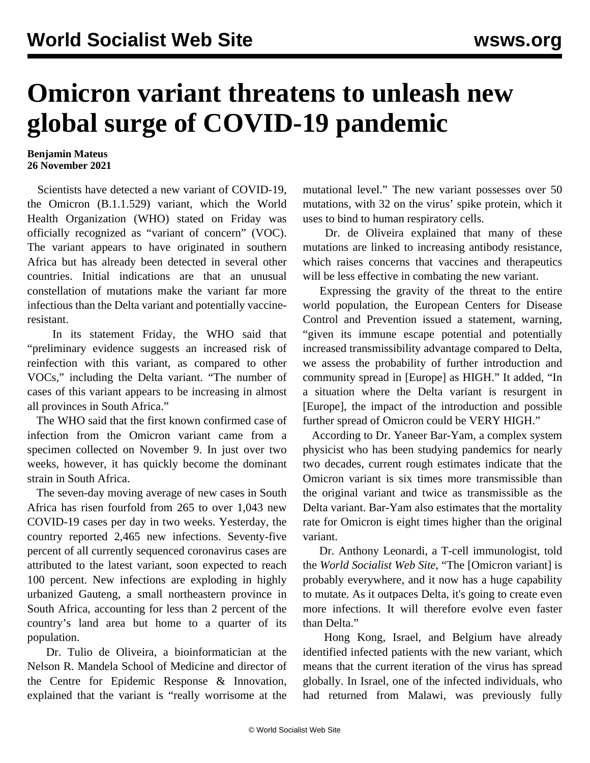## **Omicron variant threatens to unleash new global surge of COVID-19 pandemic**

## **Benjamin Mateus 26 November 2021**

 Scientists have detected a new variant of COVID-19, the Omicron (B.1.1.529) variant, which the World Health Organization (WHO) stated on Friday was officially recognized as "variant of concern" (VOC). The variant appears to have originated in southern Africa but has already been detected in several other countries. Initial indications are that an unusual constellation of mutations make the variant far more infectious than the Delta variant and potentially vaccineresistant.

 In its statement Friday, the WHO said that "preliminary evidence suggests an increased risk of reinfection with this variant, as compared to other VOCs," including the Delta variant. "The number of cases of this variant appears to be increasing in almost all provinces in South Africa."

 The WHO said that the first known confirmed case of infection from the Omicron variant came from a specimen collected on November 9. In just over two weeks, however, it has quickly become the dominant strain in South Africa.

 The seven-day moving average of new cases in South Africa has risen fourfold from 265 to over 1,043 new COVID-19 cases per day in two weeks. Yesterday, the country reported 2,465 new infections. Seventy-five percent of all currently sequenced coronavirus cases are attributed to the latest variant, soon expected to reach 100 percent. New infections are exploding in highly urbanized Gauteng, a small northeastern province in South Africa, accounting for less than 2 percent of the country's land area but home to a quarter of its population.

 Dr. Tulio de Oliveira, a bioinformatician at the Nelson R. Mandela School of Medicine and director of the Centre for Epidemic Response & Innovation, explained that the variant is "really worrisome at the mutational level." The new variant possesses over 50 mutations, with 32 on the virus' spike protein, which it uses to bind to human respiratory cells.

 Dr. de Oliveira explained that many of these mutations are linked to increasing antibody resistance, which raises concerns that vaccines and therapeutics will be less effective in combating the new variant.

 Expressing the gravity of the threat to the entire world population, the European Centers for Disease Control and Prevention issued a statement, warning, "given its immune escape potential and potentially increased transmissibility advantage compared to Delta, we assess the probability of further introduction and community spread in [Europe] as HIGH." It added, "In a situation where the Delta variant is resurgent in [Europe], the impact of the introduction and possible further spread of Omicron could be VERY HIGH."

 According to Dr. Yaneer Bar-Yam, a complex system physicist who has been studying pandemics for nearly two decades, current rough estimates indicate that the Omicron variant is six times more transmissible than the original variant and twice as transmissible as the Delta variant. Bar-Yam also estimates that the mortality rate for Omicron is eight times higher than the original variant.

 Dr. Anthony Leonardi, a T-cell immunologist, told the *World Socialist Web Site*, "The [Omicron variant] is probably everywhere, and it now has a huge capability to mutate. As it outpaces Delta, it's going to create even more infections. It will therefore evolve even faster than Delta."

 Hong Kong, Israel, and Belgium have already identified infected patients with the new variant, which means that the current iteration of the virus has spread globally. In Israel, one of the infected individuals, who had returned from Malawi, was previously fully